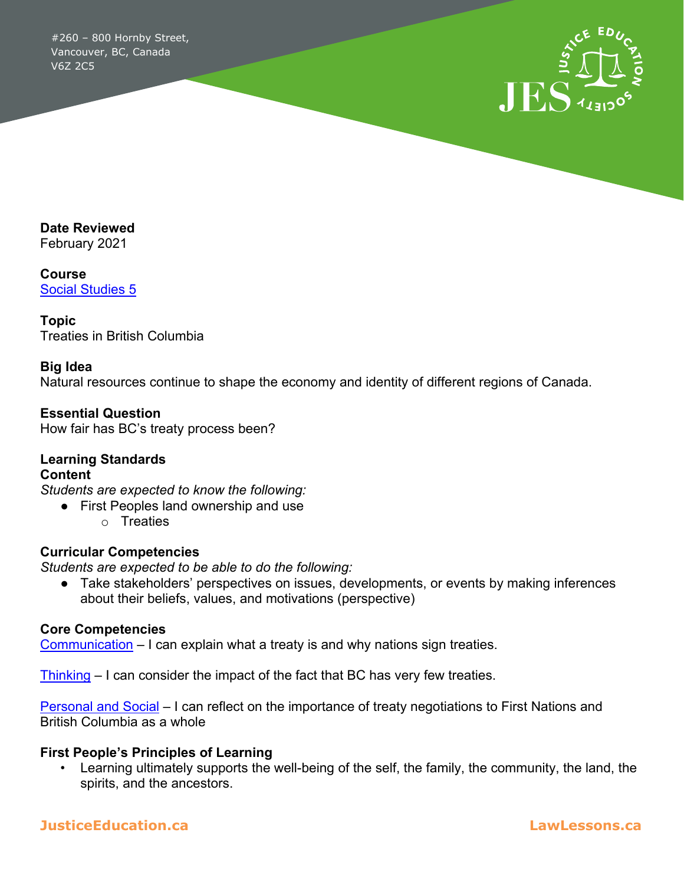#260 – 800 Hornby Street, Vancouver, BC, Canada V6Z 2C5



**Date Reviewed** February 2021

**Course** [Social Studies 5](https://curriculum.gov.bc.ca/curriculum/social-studies/5/core)

**Topic** Treaties in British Columbia

#### **Big Idea**

Natural resources continue to shape the economy and identity of different regions of Canada.

**Essential Question** How fair has BC's treaty process been?

### **Learning Standards Content**

*Students are expected to know the following:*

- First Peoples land ownership and use
	- o Treaties

#### **Curricular Competencies**

*Students are expected to be able to do the following:*

● Take stakeholders' perspectives on issues, developments, or events by making inferences about their beliefs, values, and motivations (perspective)

#### **Core Competencies**

[Communication](https://curriculum.gov.bc.ca/competencies/communication) – I can explain what a treaty is and why nations sign treaties.

[Thinking](https://curriculum.gov.bc.ca/competencies/thinking) – I can consider the impact of the fact that BC has very few treaties.

[Personal and Social](https://curriculum.gov.bc.ca/competencies/personal-and-social) – I can reflect on the importance of treaty negotiations to First Nations and British Columbia as a whole

#### **First People's Principles of Learning**

• Learning ultimately supports the well-being of the self, the family, the community, the land, the spirits, and the ancestors.

### **JusticeEducation.ca LawLessons.ca**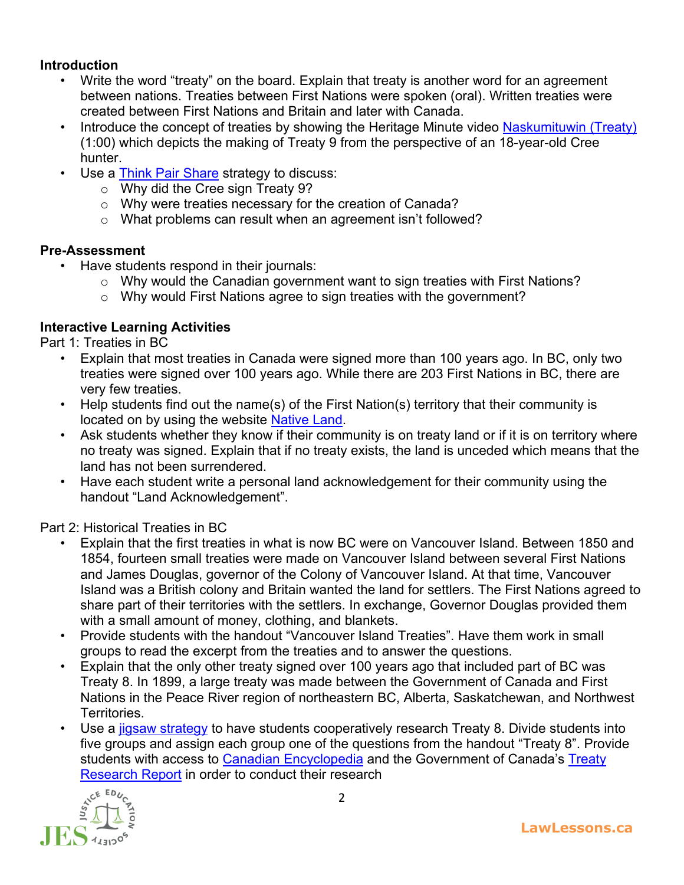### **Introduction**

- Write the word "treaty" on the board. Explain that treaty is another word for an agreement between nations. Treaties between First Nations were spoken (oral). Written treaties were created between First Nations and Britain and later with Canada.
- Introduce the concept of treaties by showing the Heritage Minute video [Naskumituwin \(Treaty\)](https://www.youtube.com/watch?v=mVVD9yYCKiI&feature=emb_logo) (1:00) which depicts the making of Treaty 9 from the perspective of an 18-year-old Cree hunter.
- Use a [Think Pair Share](http://www.readwritethink.org/professional-development/strategy-guides/using-think-pair-share-30626.html) strategy to discuss:
	- o Why did the Cree sign Treaty 9?
	- o Why were treaties necessary for the creation of Canada?
	- o What problems can result when an agreement isn't followed?

### **Pre-Assessment**

- Have students respond in their journals:
	- o Why would the Canadian government want to sign treaties with First Nations?
	- o Why would First Nations agree to sign treaties with the government?

## **Interactive Learning Activities**

Part 1: Treaties in BC

- Explain that most treaties in Canada were signed more than 100 years ago. In BC, only two treaties were signed over 100 years ago. While there are 203 First Nations in BC, there are very few treaties.
- Help students find out the name(s) of the First Nation(s) territory that their community is located on by using the website [Native Land.](https://native-land.ca/resources/territory-acknowledgement/)
- Ask students whether they know if their community is on treaty land or if it is on territory where no treaty was signed. Explain that if no treaty exists, the land is unceded which means that the land has not been surrendered.
- Have each student write a personal land acknowledgement for their community using the handout "Land Acknowledgement".

Part 2: Historical Treaties in BC

- Explain that the first treaties in what is now BC were on Vancouver Island. Between 1850 and 1854, fourteen small treaties were made on Vancouver Island between several First Nations and James Douglas, governor of the Colony of Vancouver Island. At that time, Vancouver Island was a British colony and Britain wanted the land for settlers. The First Nations agreed to share part of their territories with the settlers. In exchange, Governor Douglas provided them with a small amount of money, clothing, and blankets.
- Provide students with the handout "Vancouver Island Treaties". Have them work in small groups to read the excerpt from the treaties and to answer the questions.
- Explain that the only other treaty signed over 100 years ago that included part of BC was Treaty 8. In 1899, a large treaty was made between the Government of Canada and First Nations in the Peace River region of northeastern BC, Alberta, Saskatchewan, and Northwest Territories.
- Use a [jigsaw strategy](https://www.teachhub.com/teaching-strategies/2016/10/the-jigsaw-method-teaching-strategy/) to have students cooperatively research Treaty 8. Divide students into five groups and assign each group one of the questions from the handout "Treaty 8". Provide students with access to [Canadian Encyclopedia](about:blank) and the Government of Canada's Treaty [Research Report](https://www.rcaanc-cirnac.gc.ca/eng/1100100028809/1564415096517) in order to conduct their research

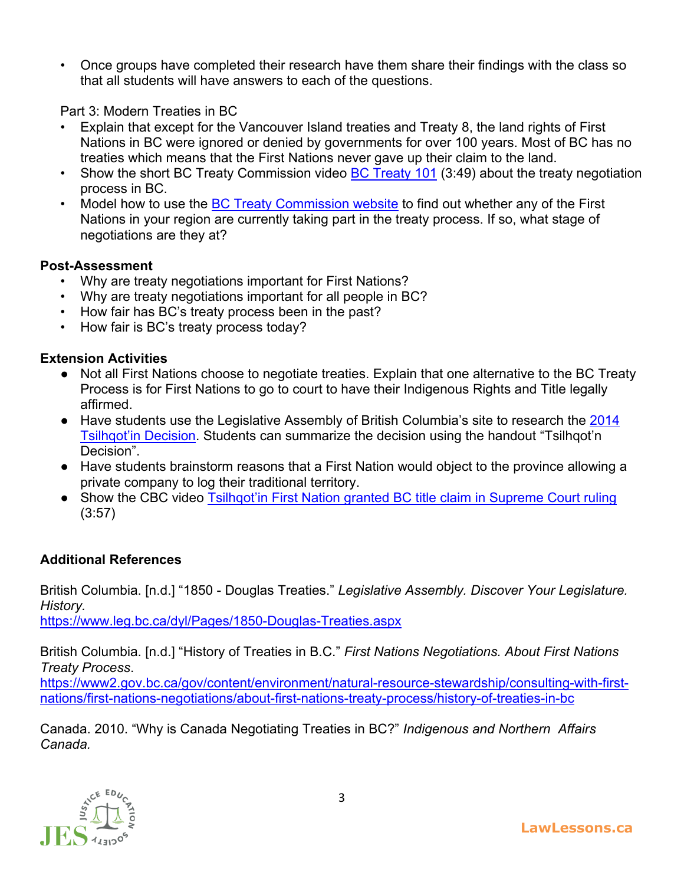• Once groups have completed their research have them share their findings with the class so that all students will have answers to each of the questions.

Part 3: Modern Treaties in BC

- Explain that except for the Vancouver Island treaties and Treaty 8, the land rights of First Nations in BC were ignored or denied by governments for over 100 years. Most of BC has no treaties which means that the First Nations never gave up their claim to the land.
- Show the short BC Treaty Commission video [BC Treaty 101](https://www.youtube.com/watch?v=XfhbrP_OVwo) (3:49) about the treaty negotiation process in BC.
- Model how to use the [BC Treaty Commission website](http://www.bctreaty.ca/negotiation-update) to find out whether any of the First Nations in your region are currently taking part in the treaty process. If so, what stage of negotiations are they at?

# **Post-Assessment**

- Why are treaty negotiations important for First Nations?
- Why are treaty negotiations important for all people in BC?
- How fair has BC's treaty process been in the past?
- How fair is BC's treaty process today?

# **Extension Activities**

- Not all First Nations choose to negotiate treaties. Explain that one alternative to the BC Treaty Process is for First Nations to go to court to have their Indigenous Rights and Title legally affirmed.
- Have students use the Legislative Assembly of British Columbia's site to research the 2014 [Tsilhqot'in Decision.](https://www.leg.bc.ca/dyl/Pages/2014-Tsilqhot%E2%80%99in-Decision.aspx) Students can summarize the decision using the handout "Tsilhqot'n Decision".
- Have students brainstorm reasons that a First Nation would object to the province allowing a private company to log their traditional territory.
- Show the CBC video [Tsilhqot'in First Nation granted BC title claim in Supreme Court ruling](https://www.youtube.com/watch?v=z4D85H7lQxEE&feature=youtu.be) (3:57)

# **Additional References**

British Columbia. [n.d.] "1850 - Douglas Treaties." *Legislative Assembly. Discover Your Legislature. History.*

<https://www.leg.bc.ca/dyl/Pages/1850-Douglas-Treaties.aspx>

British Columbia. [n.d.] "History of Treaties in B.C." *First Nations Negotiations. About First Nations Treaty Process*.

[https://www2.gov.bc.ca/gov/content/environment/natural-resource-stewardship/consulting-with-first](https://www2.gov.bc.ca/gov/content/environment/natural-resource-stewardship/consulting-with-first-nations/first-nations-negotiations/about-first-nations-treaty-process/history-of-treaties-in-bc)[nations/first-nations-negotiations/about-first-nations-treaty-process/history-of-treaties-in-bc](https://www2.gov.bc.ca/gov/content/environment/natural-resource-stewardship/consulting-with-first-nations/first-nations-negotiations/about-first-nations-treaty-process/history-of-treaties-in-bc)

Canada. 2010. "Why is Canada Negotiating Treaties in BC?" *Indigenous and Northern Affairs Canada.*

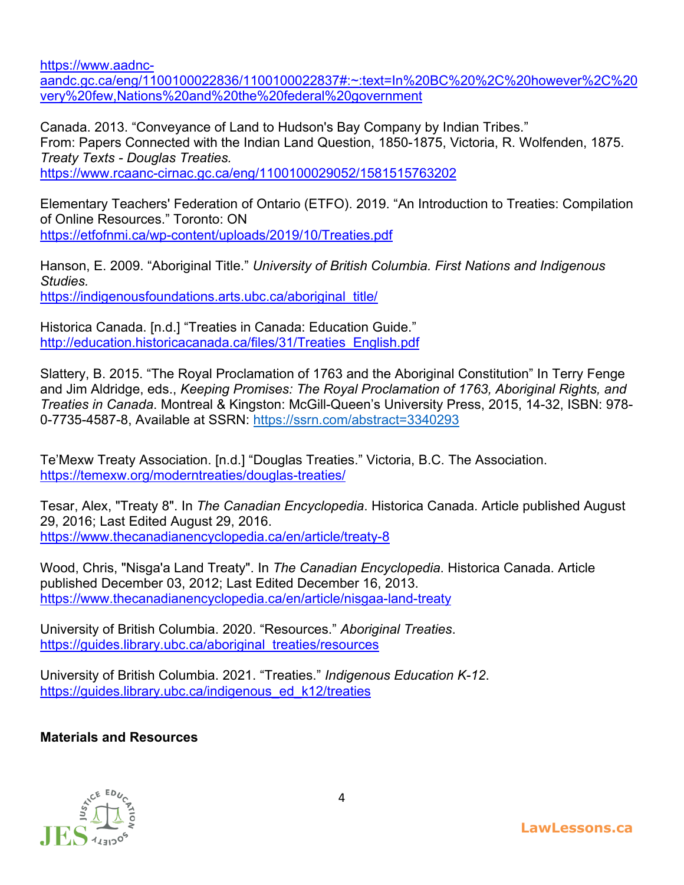[https://www.aadnc-](https://www.aadnc-aandc.gc.ca/eng/1100100022836/1100100022837#:%7E:text=In%20BC%20%2C%20however%2C%20very%20few,Nations%20and%20the%20federal%20government)

[aandc.gc.ca/eng/1100100022836/1100100022837#:~:text=In%20BC%20%2C%20however%2C%20](https://www.aadnc-aandc.gc.ca/eng/1100100022836/1100100022837#:%7E:text=In%20BC%20%2C%20however%2C%20very%20few,Nations%20and%20the%20federal%20government) [very%20few,Nations%20and%20the%20federal%20government](https://www.aadnc-aandc.gc.ca/eng/1100100022836/1100100022837#:%7E:text=In%20BC%20%2C%20however%2C%20very%20few,Nations%20and%20the%20federal%20government)

Canada. 2013. "Conveyance of Land to Hudson's Bay Company by Indian Tribes." From: Papers Connected with the Indian Land Question, 1850-1875, Victoria, R. Wolfenden, 1875. *Treaty Texts - Douglas Treaties.*

<https://www.rcaanc-cirnac.gc.ca/eng/1100100029052/1581515763202>

Elementary Teachers' Federation of Ontario (ETFO). 2019. "An Introduction to Treaties: Compilation of Online Resources." Toronto: ON <https://etfofnmi.ca/wp-content/uploads/2019/10/Treaties.pdf>

Hanson, E. 2009. "Aboriginal Title." *University of British Columbia. First Nations and Indigenous Studies.*  [https://indigenousfoundations.arts.ubc.ca/aboriginal\\_title/](https://indigenousfoundations.arts.ubc.ca/aboriginal_title/)

Historica Canada. [n.d.] "Treaties in Canada: Education Guide." [http://education.historicacanada.ca/files/31/Treaties\\_English.pdf](http://education.historicacanada.ca/files/31/Treaties_English.pdf)

Slattery, B. 2015. "The Royal Proclamation of 1763 and the Aboriginal Constitution" In Terry Fenge and Jim Aldridge, eds., *Keeping Promises: The Royal Proclamation of 1763, Aboriginal Rights, and Treaties in Canada*. Montreal & Kingston: McGill-Queen's University Press, 2015, 14-32, ISBN: 978- 0-7735-4587-8, Available at SSRN: <https://ssrn.com/abstract=3340293>

Te'Mexw Treaty Association. [n.d.] "Douglas Treaties." Victoria, B.C. The Association. <https://temexw.org/moderntreaties/douglas-treaties/>

Tesar, Alex, "Treaty 8". In *The Canadian Encyclopedia*. Historica Canada. Article published August 29, 2016; Last Edited August 29, 2016. <https://www.thecanadianencyclopedia.ca/en/article/treaty-8>

Wood, Chris, "Nisga'a Land Treaty". In *The Canadian Encyclopedia*. Historica Canada. Article published December 03, 2012; Last Edited December 16, 2013. <https://www.thecanadianencyclopedia.ca/en/article/nisgaa-land-treaty>

University of British Columbia. 2020. "Resources." *Aboriginal Treaties*. [https://guides.library.ubc.ca/aboriginal\\_treaties/resources](https://guides.library.ubc.ca/aboriginal_treaties/resources)

University of British Columbia. 2021. "Treaties." *Indigenous Education K-12*. [https://guides.library.ubc.ca/indigenous\\_ed\\_k12/treaties](https://guides.library.ubc.ca/indigenous_ed_k12/treaties)

## **Materials and Resources**

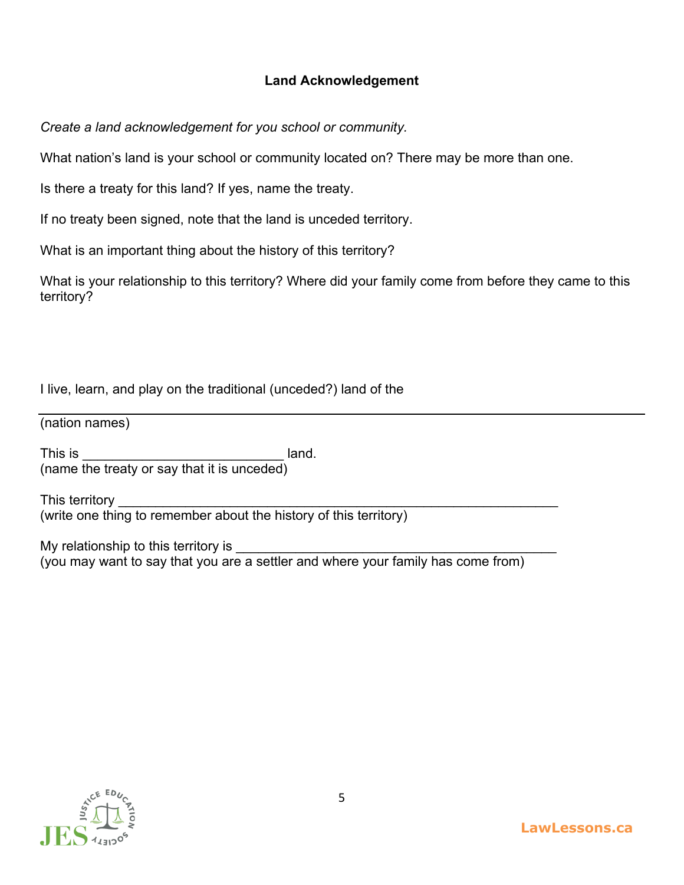## **Land Acknowledgement**

*Create a land acknowledgement for you school or community.*

What nation's land is your school or community located on? There may be more than one.

Is there a treaty for this land? If yes, name the treaty.

If no treaty been signed, note that the land is unceded territory.

What is an important thing about the history of this territory?

What is your relationship to this territory? Where did your family come from before they came to this territory?

I live, learn, and play on the traditional (unceded?) land of the

(nation names)

This is **Example 2** and 2 and 2 and 2 and 2 and 2 and 2 and 2 and 2 and 2 and 2 and 2 and 2 and 2 and 2 and 2 and 2 and 2 and 2 and 2 and 2 and 2 and 2 and 2 and 2 and 2 and 2 and 2 and 2 and 2 and 2 and 2 and 2 and 2 and (name the treaty or say that it is unceded)

This territory (write one thing to remember about the history of this territory)

My relationship to this territory is (you may want to say that you are a settler and where your family has come from)

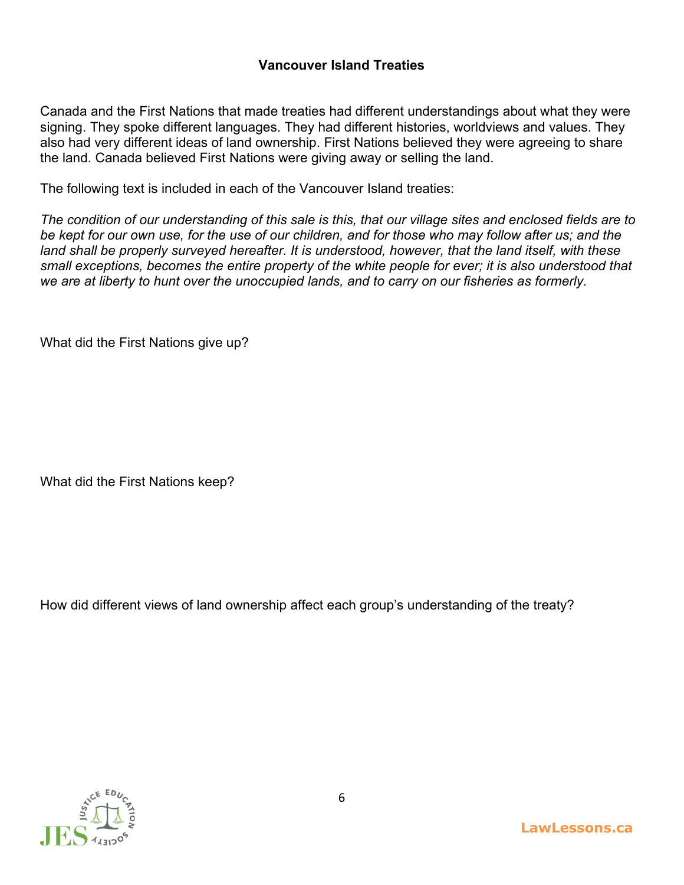## **Vancouver Island Treaties**

Canada and the First Nations that made treaties had different understandings about what they were signing. They spoke different languages. They had different histories, worldviews and values. They also had very different ideas of land ownership. First Nations believed they were agreeing to share the land. Canada believed First Nations were giving away or selling the land.

The following text is included in each of the Vancouver Island treaties:

*The condition of our understanding of this sale is this, that our village sites and enclosed fields are to be kept for our own use, for the use of our children, and for those who may follow after us; and the*  land shall be properly surveyed hereafter. It is understood, however, that the land itself, with these *small exceptions, becomes the entire property of the white people for ever; it is also understood that we are at liberty to hunt over the unoccupied lands, and to carry on our fisheries as formerly.*

What did the First Nations give up?

What did the First Nations keep?

How did different views of land ownership affect each group's understanding of the treaty?

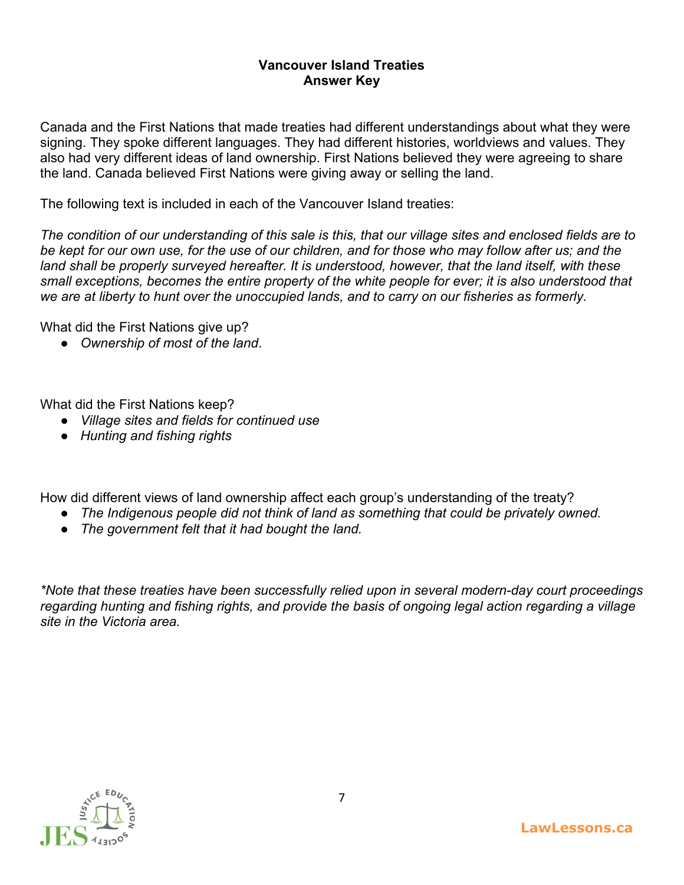### **Vancouver Island Treaties Answer Key**

Canada and the First Nations that made treaties had different understandings about what they were signing. They spoke different languages. They had different histories, worldviews and values. They also had very different ideas of land ownership. First Nations believed they were agreeing to share the land. Canada believed First Nations were giving away or selling the land.

The following text is included in each of the Vancouver Island treaties:

*The condition of our understanding of this sale is this, that our village sites and enclosed fields are to be kept for our own use, for the use of our children, and for those who may follow after us; and the land shall be properly surveyed hereafter. It is understood, however, that the land itself, with these small exceptions, becomes the entire property of the white people for ever; it is also understood that we are at liberty to hunt over the unoccupied lands, and to carry on our fisheries as formerly.*

What did the First Nations give up?

● *Ownership of most of the land*.

What did the First Nations keep?

- *Village sites and fields for continued use*
- *Hunting and fishing rights*

How did different views of land ownership affect each group's understanding of the treaty?

- *The Indigenous people did not think of land as something that could be privately owned.*
- *The government felt that it had bought the land.*

*\*Note that these treaties have been successfully relied upon in several modern-day court proceedings regarding hunting and fishing rights, and provide the basis of ongoing legal action regarding a village site in the Victoria area.*

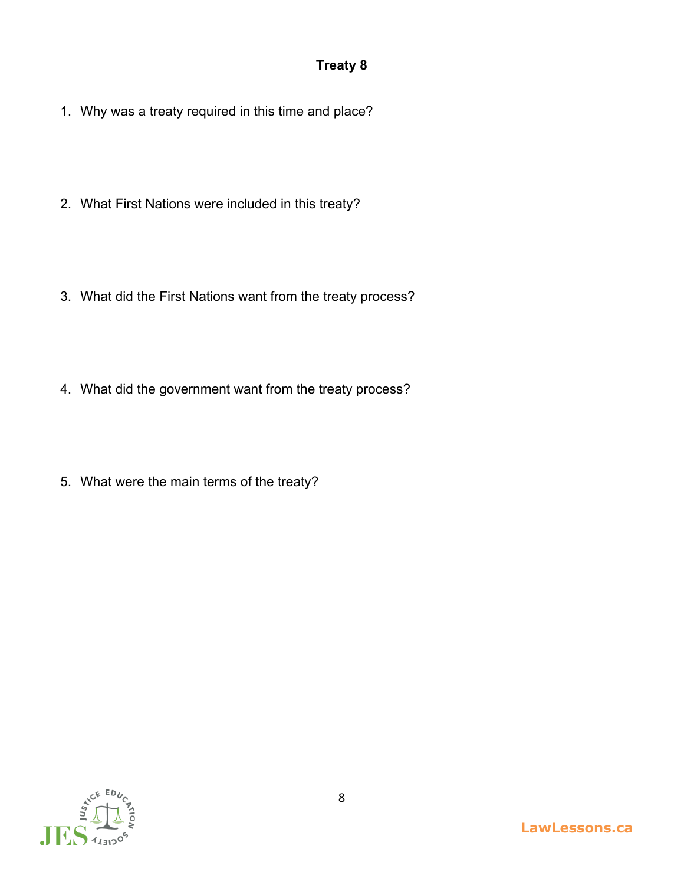# **Treaty 8**

- 1. Why was a treaty required in this time and place?
- 2. What First Nations were included in this treaty?
- 3. What did the First Nations want from the treaty process?
- 4. What did the government want from the treaty process?
- 5. What were the main terms of the treaty?

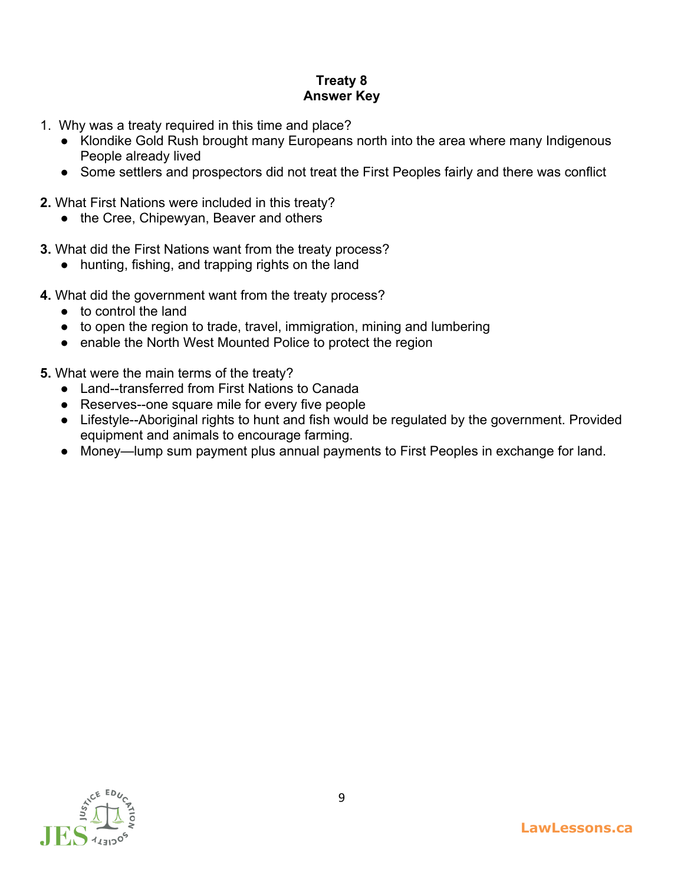# **Treaty 8 Answer Key**

- 1. Why was a treaty required in this time and place?
	- Klondike Gold Rush brought many Europeans north into the area where many Indigenous People already lived
	- Some settlers and prospectors did not treat the First Peoples fairly and there was conflict
- **2.** What First Nations were included in this treaty?
	- the Cree, Chipewyan, Beaver and others
- **3.** What did the First Nations want from the treaty process?
	- hunting, fishing, and trapping rights on the land
- **4.** What did the government want from the treaty process?
	- to control the land
	- to open the region to trade, travel, immigration, mining and lumbering
	- enable the North West Mounted Police to protect the region
- **5.** What were the main terms of the treaty?
	- Land--transferred from First Nations to Canada
	- Reserves--one square mile for every five people
	- Lifestyle--Aboriginal rights to hunt and fish would be regulated by the government. Provided equipment and animals to encourage farming.
	- Money—lump sum payment plus annual payments to First Peoples in exchange for land.

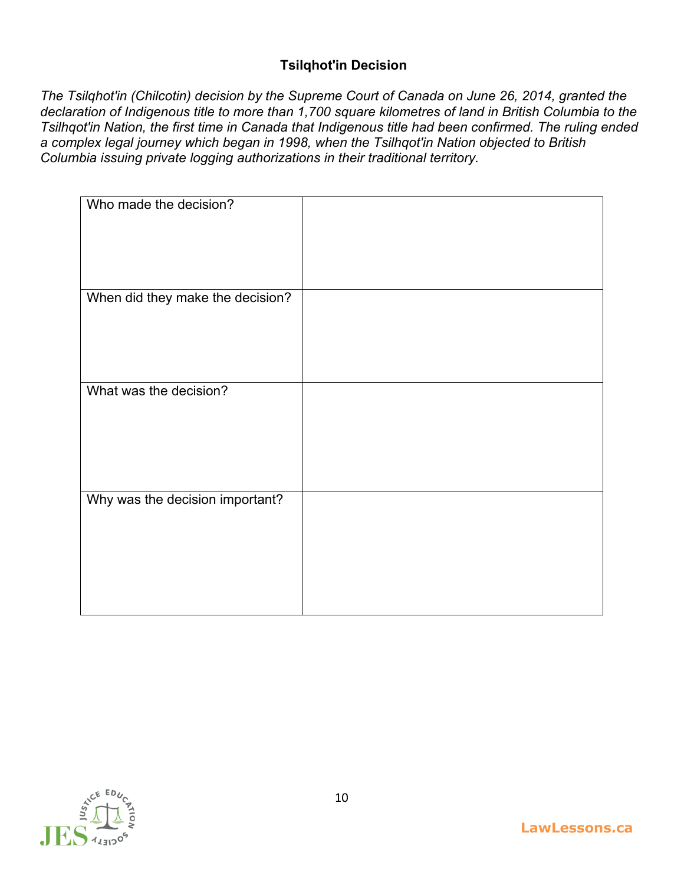## **Tsilqhot'in Decision**

*The Tsilqhot'in (Chilcotin) decision by the Supreme Court of Canada on June 26, 2014, granted the declaration of Indigenous title to more than 1,700 square kilometres of land in British Columbia to the Tsilhqot'in Nation, the first time in Canada that Indigenous title had been confirmed. The ruling ended a complex legal journey which began in 1998, when the Tsilhqot'in Nation objected to British Columbia issuing private logging authorizations in their traditional territory.*

| Who made the decision?           |  |
|----------------------------------|--|
| When did they make the decision? |  |
| What was the decision?           |  |
| Why was the decision important?  |  |